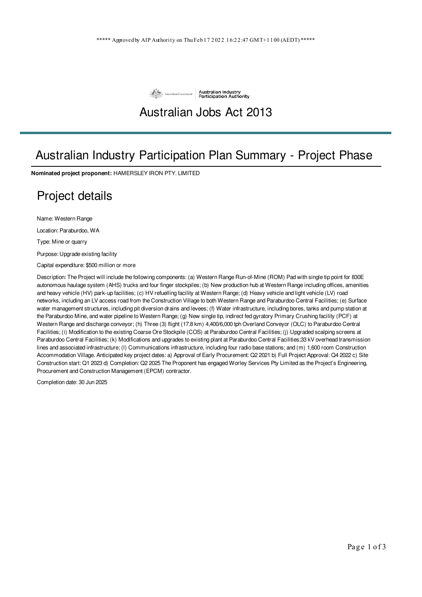

## Australian Jobs Act 2013

## Australian Industry Participation Plan Summary - Project Phase

**Nominated project proponent:** HAMERSLEY IRON PTY. LIMITED

## Project details

Name: Western Range

Location: Paraburdoo, WA

Type: Mine or quarry

Purpose: Upgrade existing facility

Capital expenditure: \$500 million or more

Description: The Project will include the following components: (a) Western Range Run-of-Mine (ROM) Pad with single tip point for 830E autonomous haulage system (AHS) trucks and four finger stockpiles; (b) New production hub at Western Range including offices, amenities and heavy vehicle (HV) park-up facilities; (c) HV refuelling facility at Western Range; (d) Heavy vehicle and light vehicle (LV) road networks, including an LV access road from the Construction Village to both Western Range and Paraburdoo Central Facilities; (e) Surface water management structures, including pit diversion drains and levees; (f) Water infrastructure, including bores, tanks and pump station at the Paraburdoo Mine, and water pipeline to Western Range; (g) New single tip, indirect fed gyratory Primary Crushing facility (PCF) at Western Range and discharge conveyor; (h) Three (3) flight (17.8 km) 4,400/6,000 tph Overland Conveyor (OLC) to Paraburdoo Central Facilities; (i) Modification to the existing Coarse Ore Stockpile (COS) at Paraburdoo Central Facilities; (j) Upgraded scalping screens at Paraburdoo Central Facilities; (k) Modifications and upgrades to existing plant at Paraburdoo Central Facilities;33 kV overhead transmission lines and associated infrastructure; (l) Communications infrastructure, including four radio base stations; and (m) 1,600 room Construction Accommodation Village. Anticipated key project dates: a) Approval of Early Procurement: Q2 2021 b) Full Project Approval: Q4 2022 c) Site Construction start: Q1 2023 d) Completion: Q2 2025 The Proponent has engaged Worley Services Pty Limited as the Project's Engineering, Procurement and Construction Management (EPCM) contractor.

Completion date: 30 Jun 2025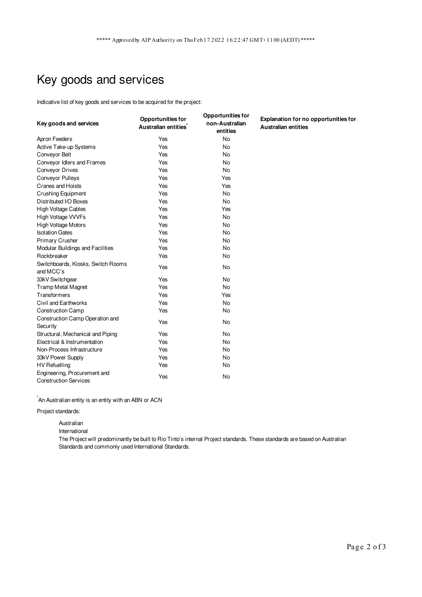# Key goods and services

Indicative list of key goods and services to be acquired for the project:

| Key goods and services                                       | <b>Opportunities for</b><br>Australian entities <sup>*</sup> | <b>Opportunities for</b><br>non-Australian<br>entities | Explanation for no opportunities for<br><b>Australian entities</b> |
|--------------------------------------------------------------|--------------------------------------------------------------|--------------------------------------------------------|--------------------------------------------------------------------|
| Apron Feeders                                                | Yes                                                          | <b>No</b>                                              |                                                                    |
| Active Take-up Systems                                       | Yes                                                          | <b>No</b>                                              |                                                                    |
| Conveyor Belt                                                | Yes                                                          | No                                                     |                                                                    |
| Conveyor Idlers and Frames                                   | Yes                                                          | <b>No</b>                                              |                                                                    |
| Conveyor Drives                                              | Yes                                                          | <b>No</b>                                              |                                                                    |
| Conveyor Pulleys                                             | Yes                                                          | Yes                                                    |                                                                    |
| <b>Cranes and Hoists</b>                                     | Yes                                                          | Yes                                                    |                                                                    |
| Crushing Equipment                                           | Yes                                                          | <b>No</b>                                              |                                                                    |
| Distributed I/O Boxes                                        | Yes                                                          | No                                                     |                                                                    |
| <b>High Voltage Cables</b>                                   | Yes                                                          | Yes                                                    |                                                                    |
| High Voltage VVVFs                                           | Yes                                                          | <b>No</b>                                              |                                                                    |
| <b>High Voltage Motors</b>                                   | Yes                                                          | <b>No</b>                                              |                                                                    |
| <b>Isolation Gates</b>                                       | Yes                                                          | No                                                     |                                                                    |
| <b>Primary Crusher</b>                                       | Yes                                                          | No                                                     |                                                                    |
| Modular Buildings and Facilities                             | Yes                                                          | <b>No</b>                                              |                                                                    |
| Rockbreaker                                                  | Yes                                                          | No                                                     |                                                                    |
| Switchboards, Kiosks, Switch Rooms<br>and MCC's              | Yes                                                          | No                                                     |                                                                    |
| 33kV Switchgear                                              | Yes                                                          | No                                                     |                                                                    |
| <b>Tramp Metal Magnet</b>                                    | Yes                                                          | No                                                     |                                                                    |
| Transformers                                                 | Yes                                                          | Yes                                                    |                                                                    |
| Civil and Earthworks                                         | Yes                                                          | No                                                     |                                                                    |
| <b>Construction Camp</b>                                     | Yes                                                          | <b>No</b>                                              |                                                                    |
| Construction Camp Operation and<br>Security                  | Yes                                                          | <b>No</b>                                              |                                                                    |
| Structural, Mechanical and Piping                            | Yes                                                          | No                                                     |                                                                    |
| Electrical & Instrumentation                                 | Yes                                                          | No                                                     |                                                                    |
| Non-Process Infrastructure                                   | Yes                                                          | No                                                     |                                                                    |
| 33kV Power Supply                                            | Yes                                                          | <b>No</b>                                              |                                                                    |
| <b>HV Refuelling</b>                                         | Yes                                                          | No                                                     |                                                                    |
| Engineering, Procurement and<br><b>Construction Services</b> | Yes                                                          | No                                                     |                                                                    |

 $\check{}$ An Australian entity is an entity with an ABN or ACN

Project standards:

Australian

International

The Project will predominantly be built to Rio Tinto's internal Project standards. These standards are based on Australian Standards and commonly used International Standards.